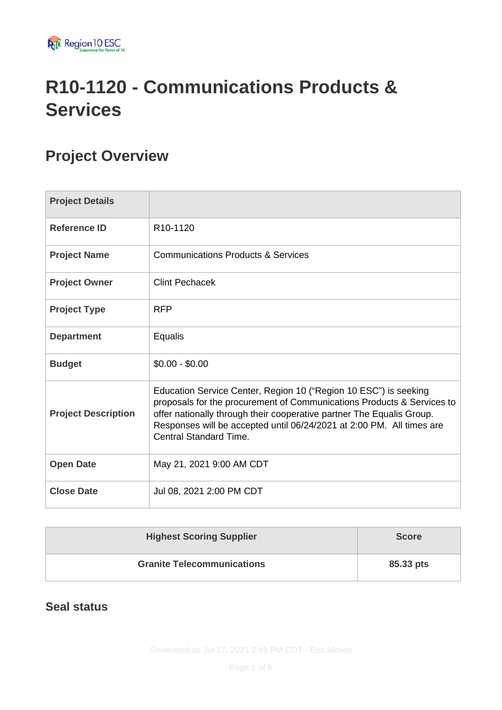

# **R10-1120 - Communications Products & Services**

# **Project Overview**

| <b>Project Details</b>     |                                                                                                                                                                                                                                                                                                                               |
|----------------------------|-------------------------------------------------------------------------------------------------------------------------------------------------------------------------------------------------------------------------------------------------------------------------------------------------------------------------------|
| <b>Reference ID</b>        | R <sub>10</sub> -1120                                                                                                                                                                                                                                                                                                         |
| <b>Project Name</b>        | <b>Communications Products &amp; Services</b>                                                                                                                                                                                                                                                                                 |
| <b>Project Owner</b>       | <b>Clint Pechacek</b>                                                                                                                                                                                                                                                                                                         |
| <b>Project Type</b>        | <b>RFP</b>                                                                                                                                                                                                                                                                                                                    |
| <b>Department</b>          | Equalis                                                                                                                                                                                                                                                                                                                       |
| <b>Budget</b>              | $$0.00 - $0.00$                                                                                                                                                                                                                                                                                                               |
| <b>Project Description</b> | Education Service Center, Region 10 ("Region 10 ESC") is seeking<br>proposals for the procurement of Communications Products & Services to<br>offer nationally through their cooperative partner The Equalis Group.<br>Responses will be accepted until 06/24/2021 at 2:00 PM. All times are<br><b>Central Standard Time.</b> |
| <b>Open Date</b>           | May 21, 2021 9:00 AM CDT                                                                                                                                                                                                                                                                                                      |
| <b>Close Date</b>          | Jul 08, 2021 2:00 PM CDT                                                                                                                                                                                                                                                                                                      |

| <b>Highest Scoring Supplier</b>   | <b>Score</b> |
|-----------------------------------|--------------|
| <b>Granite Telecommunications</b> | 85.33 pts    |

### **Seal status**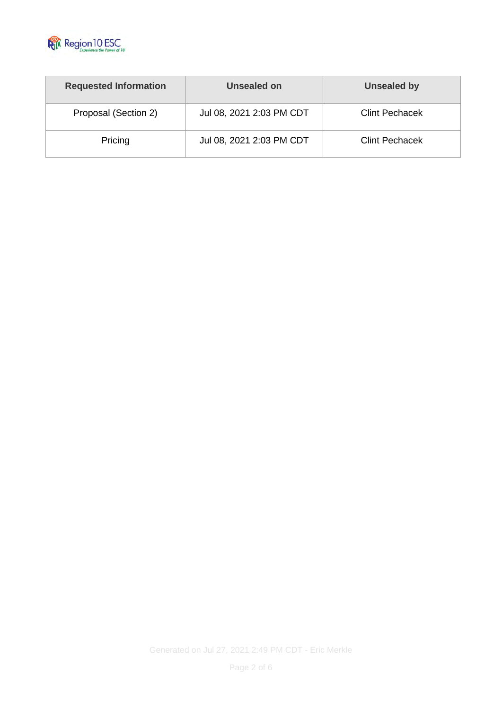

| <b>Requested Information</b> | Unsealed on              | Unsealed by           |
|------------------------------|--------------------------|-----------------------|
| Proposal (Section 2)         | Jul 08, 2021 2:03 PM CDT | <b>Clint Pechacek</b> |
| Pricing                      | Jul 08, 2021 2:03 PM CDT | <b>Clint Pechacek</b> |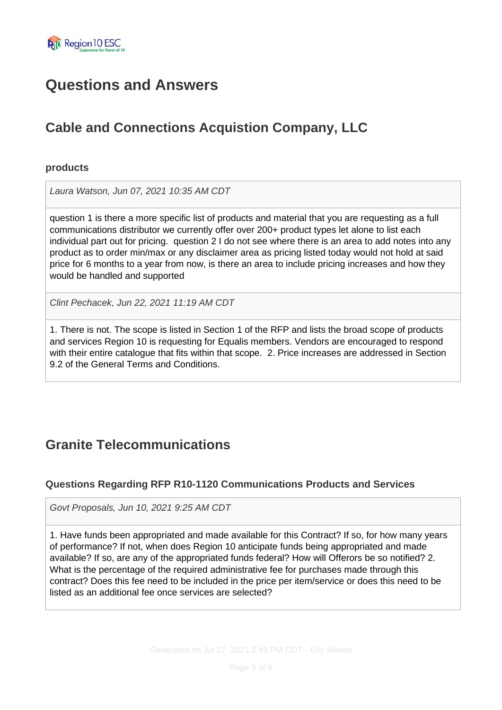

# **Questions and Answers**

# **Cable and Connections Acquistion Company, LLC**

#### **products**

*Laura Watson, Jun 07, 2021 10:35 AM CDT*

question 1 is there a more specific list of products and material that you are requesting as a full communications distributor we currently offer over 200+ product types let alone to list each individual part out for pricing. question 2 I do not see where there is an area to add notes into any product as to order min/max or any disclaimer area as pricing listed today would not hold at said price for 6 months to a year from now, is there an area to include pricing increases and how they would be handled and supported

*Clint Pechacek, Jun 22, 2021 11:19 AM CDT*

1. There is not. The scope is listed in Section 1 of the RFP and lists the broad scope of products and services Region 10 is requesting for Equalis members. Vendors are encouraged to respond with their entire catalogue that fits within that scope. 2. Price increases are addressed in Section 9.2 of the General Terms and Conditions.

## **Granite Telecommunications**

#### **Questions Regarding RFP R10-1120 Communications Products and Services**

*Govt Proposals, Jun 10, 2021 9:25 AM CDT*

1. Have funds been appropriated and made available for this Contract? If so, for how many years of performance? If not, when does Region 10 anticipate funds being appropriated and made available? If so, are any of the appropriated funds federal? How will Offerors be so notified? 2. What is the percentage of the required administrative fee for purchases made through this contract? Does this fee need to be included in the price per item/service or does this need to be listed as an additional fee once services are selected?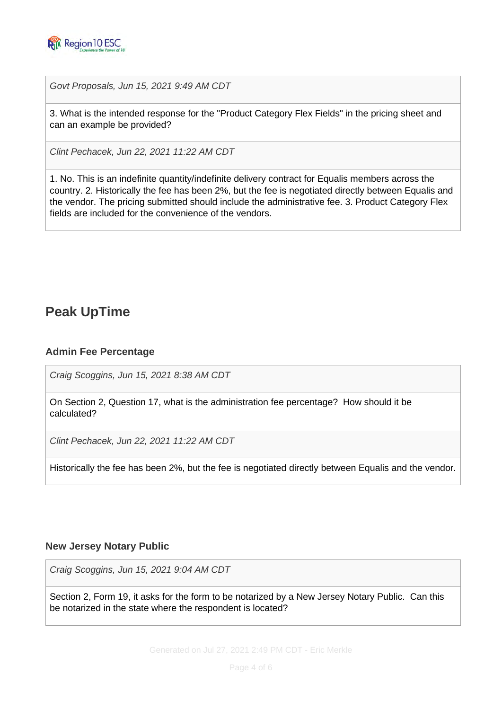

*Govt Proposals, Jun 15, 2021 9:49 AM CDT*

3. What is the intended response for the "Product Category Flex Fields" in the pricing sheet and can an example be provided?

*Clint Pechacek, Jun 22, 2021 11:22 AM CDT*

1. No. This is an indefinite quantity/indefinite delivery contract for Equalis members across the country. 2. Historically the fee has been 2%, but the fee is negotiated directly between Equalis and the vendor. The pricing submitted should include the administrative fee. 3. Product Category Flex fields are included for the convenience of the vendors.

### **Peak UpTime**

#### **Admin Fee Percentage**

*Craig Scoggins, Jun 15, 2021 8:38 AM CDT*

On Section 2, Question 17, what is the administration fee percentage? How should it be calculated?

*Clint Pechacek, Jun 22, 2021 11:22 AM CDT*

Historically the fee has been 2%, but the fee is negotiated directly between Equalis and the vendor.

#### **New Jersey Notary Public**

*Craig Scoggins, Jun 15, 2021 9:04 AM CDT*

Section 2, Form 19, it asks for the form to be notarized by a New Jersey Notary Public. Can this be notarized in the state where the respondent is located?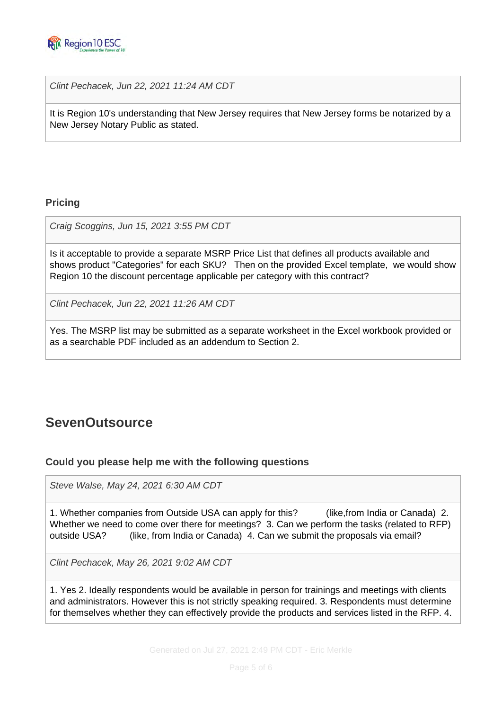

*Clint Pechacek, Jun 22, 2021 11:24 AM CDT*

It is Region 10's understanding that New Jersey requires that New Jersey forms be notarized by a New Jersey Notary Public as stated.

#### **Pricing**

*Craig Scoggins, Jun 15, 2021 3:55 PM CDT*

Is it acceptable to provide a separate MSRP Price List that defines all products available and shows product "Categories" for each SKU? Then on the provided Excel template, we would show Region 10 the discount percentage applicable per category with this contract?

*Clint Pechacek, Jun 22, 2021 11:26 AM CDT*

Yes. The MSRP list may be submitted as a separate worksheet in the Excel workbook provided or as a searchable PDF included as an addendum to Section 2.

## **SevenOutsource**

#### **Could you please help me with the following questions**

*Steve Walse, May 24, 2021 6:30 AM CDT*

1. Whether companies from Outside USA can apply for this? (like,from India or Canada) 2. Whether we need to come over there for meetings? 3. Can we perform the tasks (related to RFP) outside USA? (like, from India or Canada) 4. Can we submit the proposals via email?

*Clint Pechacek, May 26, 2021 9:02 AM CDT*

1. Yes 2. Ideally respondents would be available in person for trainings and meetings with clients and administrators. However this is not strictly speaking required. 3. Respondents must determine for themselves whether they can effectively provide the products and services listed in the RFP. 4.